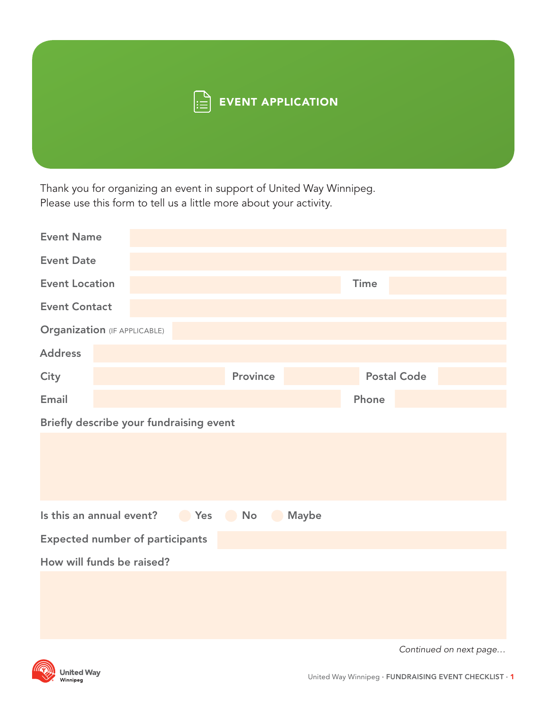

Thank you for organizing an event in support of United Way Winnipeg. Please use this form to tell us a little more about your activity.

| <b>Event Name</b>                                                             |  |  |                 |             |       |                    |  |  |
|-------------------------------------------------------------------------------|--|--|-----------------|-------------|-------|--------------------|--|--|
| <b>Event Date</b>                                                             |  |  |                 |             |       |                    |  |  |
| <b>Event Location</b>                                                         |  |  |                 | <b>Time</b> |       |                    |  |  |
| <b>Event Contact</b>                                                          |  |  |                 |             |       |                    |  |  |
| <b>Organization (IF APPLICABLE)</b>                                           |  |  |                 |             |       |                    |  |  |
| <b>Address</b>                                                                |  |  |                 |             |       |                    |  |  |
| <b>City</b>                                                                   |  |  | <b>Province</b> |             |       | <b>Postal Code</b> |  |  |
| Email                                                                         |  |  |                 |             | Phone |                    |  |  |
| Briefly describe your fundraising event                                       |  |  |                 |             |       |                    |  |  |
|                                                                               |  |  |                 |             |       |                    |  |  |
|                                                                               |  |  |                 |             |       |                    |  |  |
|                                                                               |  |  |                 |             |       |                    |  |  |
| Is this an annual event?<br>Ses Yes<br>$\bullet$ No $\bullet$<br><b>Maybe</b> |  |  |                 |             |       |                    |  |  |
| <b>Expected number of participants</b>                                        |  |  |                 |             |       |                    |  |  |
| How will funds be raised?                                                     |  |  |                 |             |       |                    |  |  |
|                                                                               |  |  |                 |             |       |                    |  |  |
|                                                                               |  |  |                 |             |       |                    |  |  |
|                                                                               |  |  |                 |             |       |                    |  |  |



**United Way**<br><sup>Winnipeg</sup>

Continued on next page…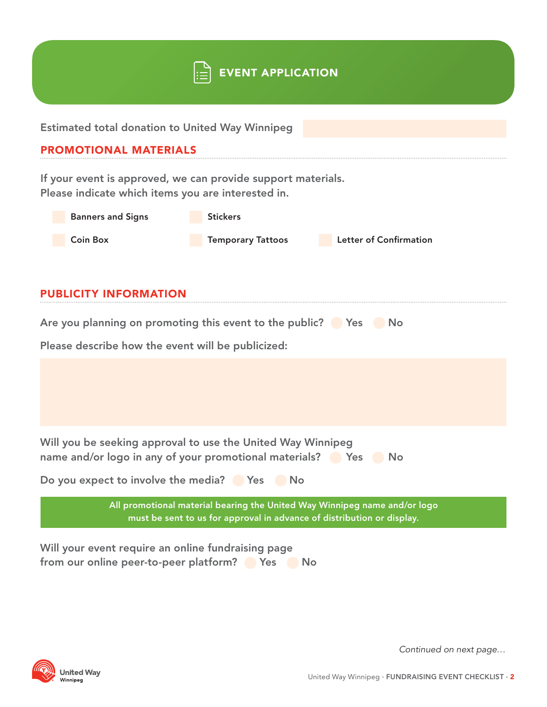|                                                                                                                                                     | <b>EVENT APPLICATION</b> |                               |  |  |  |  |  |  |
|-----------------------------------------------------------------------------------------------------------------------------------------------------|--------------------------|-------------------------------|--|--|--|--|--|--|
| <b>Estimated total donation to United Way Winnipeg</b>                                                                                              |                          |                               |  |  |  |  |  |  |
| <b>PROMOTIONAL MATERIALS</b>                                                                                                                        |                          |                               |  |  |  |  |  |  |
| If your event is approved, we can provide support materials.<br>Please indicate which items you are interested in.                                  |                          |                               |  |  |  |  |  |  |
| <b>Banners and Signs</b>                                                                                                                            | <b>Stickers</b>          |                               |  |  |  |  |  |  |
| <b>Coin Box</b>                                                                                                                                     | <b>Temporary Tattoos</b> | <b>Letter of Confirmation</b> |  |  |  |  |  |  |
| <b>PUBLICITY INFORMATION</b><br>Are you planning on promoting this event to the public? Pres<br>Please describe how the event will be publicized:   |                          |                               |  |  |  |  |  |  |
|                                                                                                                                                     |                          |                               |  |  |  |  |  |  |
| Will you be seeking approval to use the United Way Winnipeg<br>name and/or logo in any of your promotional materials? Pres PNo                      |                          |                               |  |  |  |  |  |  |
| Do you expect to involve the media? Pres No                                                                                                         |                          |                               |  |  |  |  |  |  |
| All promotional material bearing the United Way Winnipeg name and/or logo<br>must be sent to us for approval in advance of distribution or display. |                          |                               |  |  |  |  |  |  |
| Will your event require an online fundraising page<br>from our online peer-to-peer platform?                                                        | <b>Participal Yes</b>    | No                            |  |  |  |  |  |  |



Continued on next page…